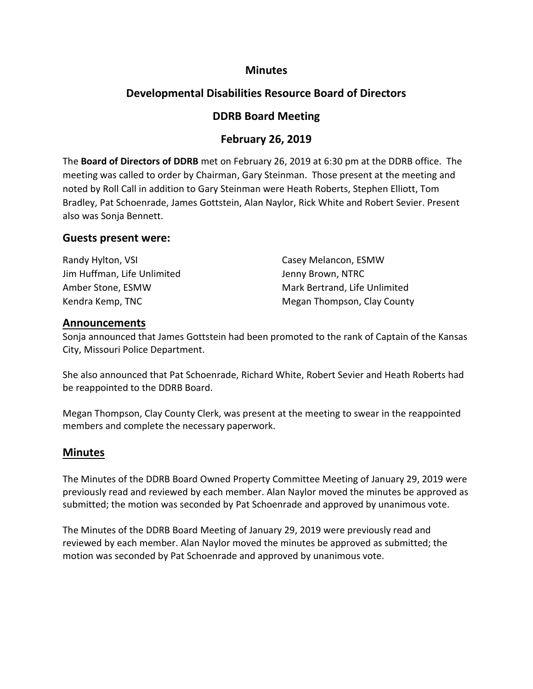### **Minutes**

# **Developmental Disabilities Resource Board of Directors**

## **DDRB Board Meeting**

## **February 26, 2019**

The **Board of Directors of DDRB** met on February 26, 2019 at 6:30 pm at the DDRB office. The meeting was called to order by Chairman, Gary Steinman. Those present at the meeting and noted by Roll Call in addition to Gary Steinman were Heath Roberts, Stephen Elliott, Tom Bradley, Pat Schoenrade, James Gottstein, Alan Naylor, Rick White and Robert Sevier. Present also was Sonja Bennett.

#### **Guests present were:**

Randy Hylton, VSI Casey Melancon, ESMW Jim Huffman, Life Unlimited Jenny Brown, NTRC Amber Stone, ESMW Mark Bertrand, Life Unlimited Kendra Kemp, TNC Megan Thompson, Clay County

#### **Announcements**

Sonja announced that James Gottstein had been promoted to the rank of Captain of the Kansas City, Missouri Police Department.

She also announced that Pat Schoenrade, Richard White, Robert Sevier and Heath Roberts had be reappointed to the DDRB Board.

Megan Thompson, Clay County Clerk, was present at the meeting to swear in the reappointed members and complete the necessary paperwork.

## **Minutes**

The Minutes of the DDRB Board Owned Property Committee Meeting of January 29, 2019 were previously read and reviewed by each member. Alan Naylor moved the minutes be approved as submitted; the motion was seconded by Pat Schoenrade and approved by unanimous vote.

The Minutes of the DDRB Board Meeting of January 29, 2019 were previously read and reviewed by each member. Alan Naylor moved the minutes be approved as submitted; the motion was seconded by Pat Schoenrade and approved by unanimous vote.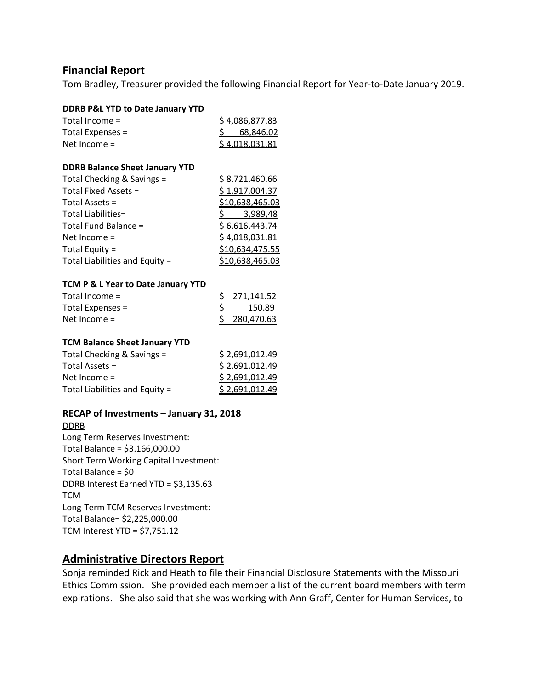## **Financial Report**

Tom Bradley, Treasurer provided the following Financial Report for Year-to-Date January 2019.

| <b>DDRB P&amp;L YTD to Date January YTD</b> |                         |
|---------------------------------------------|-------------------------|
| Total Income =                              | \$4,086,877.83          |
| Total Expenses =                            | $\frac{5}{9}$ 68,846.02 |
| Net Income =                                | \$4,018,031.81          |
|                                             |                         |
| <b>DDRB Balance Sheet January YTD</b>       |                         |
| Total Checking & Savings =                  | \$8,721,460.66          |
| Total Fixed Assets =                        | \$1,917,004.37          |
| Total Assets =                              | \$10,638,465.03         |
| Total Liabilities=                          | \$ 3,989,48             |
| Total Fund Balance =                        | \$6,616,443.74          |
| Net Income $=$                              | \$4,018,031.81          |
| Total Equity =                              | \$10,634,475.55         |
| Total Liabilities and Equity =              | \$10,638,465.03         |
|                                             |                         |
| TCM P & L Year to Date January YTD          |                         |
| Total Income =                              | \$<br>271,141.52        |
| Total Expenses =                            | \$<br>150.89            |
| Net Income =                                | \$<br>280,470.63        |
|                                             |                         |
| <b>TCM Balance Sheet January YTD</b>        |                         |
| Total Checking & Savings =                  | \$2,691,012.49          |
| Total Assets =                              | \$2,691,012.49          |
| Net Income =                                | <u>\$2,691,012.49</u>   |
| Total Liabilities and Equity =              | <u>\$2,691,012.49</u>   |
| RECAP of Investments - January 31, 2018     |                         |
| <b>DDRB</b>                                 |                         |
| ومنصراتهم<br>$\overline{\phantom{a}}$       |                         |

Long Term Reserves Investment: Total Balance = \$3.166,000.00 Short Term Working Capital Investment: Total Balance = \$0 DDRB Interest Earned YTD = \$3,135.63 **TCM** Long-Term TCM Reserves Investment: Total Balance= \$2,225,000.00 TCM Interest YTD = \$7,751.12

## **Administrative Directors Report**

Sonja reminded Rick and Heath to file their Financial Disclosure Statements with the Missouri Ethics Commission. She provided each member a list of the current board members with term expirations. She also said that she was working with Ann Graff, Center for Human Services, to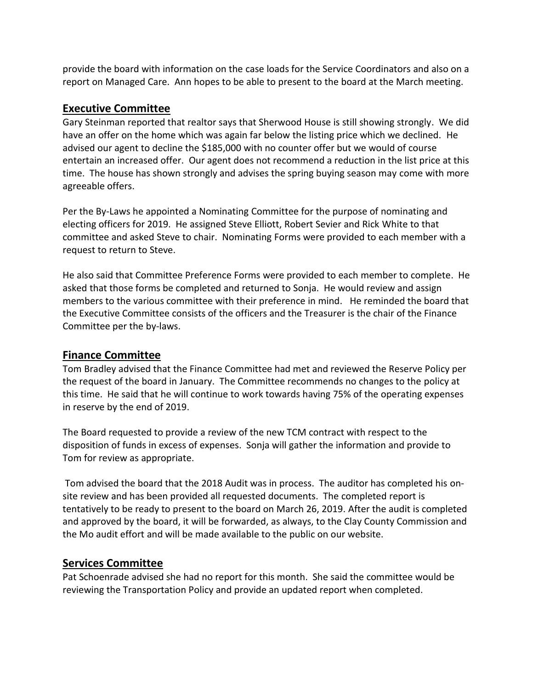provide the board with information on the case loads for the Service Coordinators and also on a report on Managed Care. Ann hopes to be able to present to the board at the March meeting.

## **Executive Committee**

Gary Steinman reported that realtor says that Sherwood House is still showing strongly. We did have an offer on the home which was again far below the listing price which we declined. He advised our agent to decline the \$185,000 with no counter offer but we would of course entertain an increased offer. Our agent does not recommend a reduction in the list price at this time. The house has shown strongly and advises the spring buying season may come with more agreeable offers.

Per the By-Laws he appointed a Nominating Committee for the purpose of nominating and electing officers for 2019. He assigned Steve Elliott, Robert Sevier and Rick White to that committee and asked Steve to chair. Nominating Forms were provided to each member with a request to return to Steve.

He also said that Committee Preference Forms were provided to each member to complete. He asked that those forms be completed and returned to Sonja. He would review and assign members to the various committee with their preference in mind. He reminded the board that the Executive Committee consists of the officers and the Treasurer is the chair of the Finance Committee per the by-laws.

# **Finance Committee**

Tom Bradley advised that the Finance Committee had met and reviewed the Reserve Policy per the request of the board in January. The Committee recommends no changes to the policy at this time. He said that he will continue to work towards having 75% of the operating expenses in reserve by the end of 2019.

The Board requested to provide a review of the new TCM contract with respect to the disposition of funds in excess of expenses. Sonja will gather the information and provide to Tom for review as appropriate.

Tom advised the board that the 2018 Audit was in process. The auditor has completed his onsite review and has been provided all requested documents. The completed report is tentatively to be ready to present to the board on March 26, 2019. After the audit is completed and approved by the board, it will be forwarded, as always, to the Clay County Commission and the Mo audit effort and will be made available to the public on our website.

## **Services Committee**

Pat Schoenrade advised she had no report for this month. She said the committee would be reviewing the Transportation Policy and provide an updated report when completed.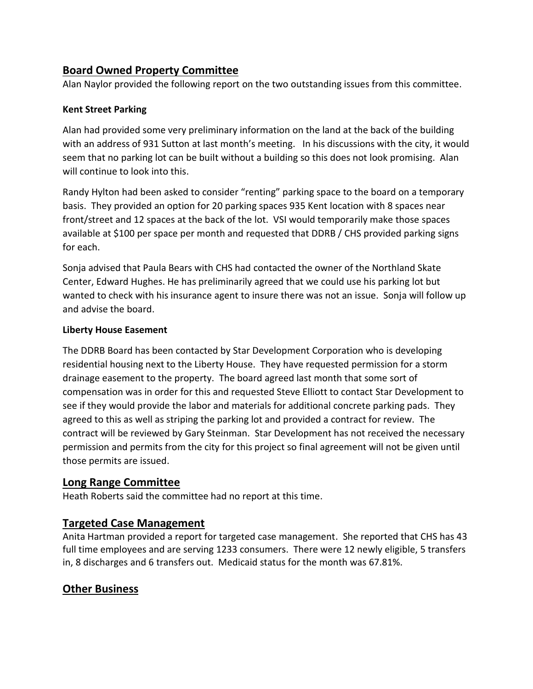# **Board Owned Property Committee**

Alan Naylor provided the following report on the two outstanding issues from this committee.

#### **Kent Street Parking**

Alan had provided some very preliminary information on the land at the back of the building with an address of 931 Sutton at last month's meeting. In his discussions with the city, it would seem that no parking lot can be built without a building so this does not look promising. Alan will continue to look into this.

Randy Hylton had been asked to consider "renting" parking space to the board on a temporary basis. They provided an option for 20 parking spaces 935 Kent location with 8 spaces near front/street and 12 spaces at the back of the lot. VSI would temporarily make those spaces available at \$100 per space per month and requested that DDRB / CHS provided parking signs for each.

Sonja advised that Paula Bears with CHS had contacted the owner of the Northland Skate Center, Edward Hughes. He has preliminarily agreed that we could use his parking lot but wanted to check with his insurance agent to insure there was not an issue. Sonja will follow up and advise the board.

#### **Liberty House Easement**

The DDRB Board has been contacted by Star Development Corporation who is developing residential housing next to the Liberty House. They have requested permission for a storm drainage easement to the property. The board agreed last month that some sort of compensation was in order for this and requested Steve Elliott to contact Star Development to see if they would provide the labor and materials for additional concrete parking pads. They agreed to this as well as striping the parking lot and provided a contract for review. The contract will be reviewed by Gary Steinman. Star Development has not received the necessary permission and permits from the city for this project so final agreement will not be given until those permits are issued.

## **Long Range Committee**

Heath Roberts said the committee had no report at this time.

# **Targeted Case Management**

Anita Hartman provided a report for targeted case management. She reported that CHS has 43 full time employees and are serving 1233 consumers. There were 12 newly eligible, 5 transfers in, 8 discharges and 6 transfers out. Medicaid status for the month was 67.81%.

# **Other Business**